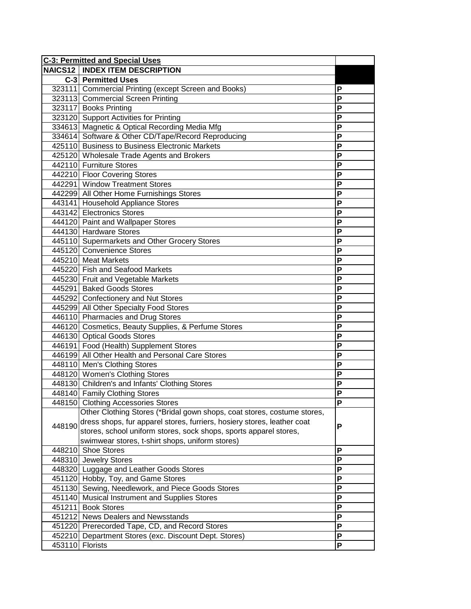|        | <b>C-3: Permitted and Special Uses</b>                                                                                                                                                                                                                                     |        |  |
|--------|----------------------------------------------------------------------------------------------------------------------------------------------------------------------------------------------------------------------------------------------------------------------------|--------|--|
|        | <b>NAICS12   INDEX ITEM DESCRIPTION</b>                                                                                                                                                                                                                                    |        |  |
|        | <b>C-3</b> Permitted Uses                                                                                                                                                                                                                                                  |        |  |
|        | 323111 Commercial Printing (except Screen and Books)                                                                                                                                                                                                                       | P      |  |
|        | 323113 Commercial Screen Printing                                                                                                                                                                                                                                          | P      |  |
|        | 323117 Books Printing                                                                                                                                                                                                                                                      | P      |  |
|        | 323120 Support Activities for Printing                                                                                                                                                                                                                                     | P      |  |
|        | 334613 Magnetic & Optical Recording Media Mfg                                                                                                                                                                                                                              | P      |  |
|        | 334614 Software & Other CD/Tape/Record Reproducing                                                                                                                                                                                                                         | P      |  |
|        | 425110 Business to Business Electronic Markets                                                                                                                                                                                                                             | P      |  |
|        | 425120 Wholesale Trade Agents and Brokers                                                                                                                                                                                                                                  | P      |  |
|        | 442110 Furniture Stores                                                                                                                                                                                                                                                    | P      |  |
|        | 442210 Floor Covering Stores                                                                                                                                                                                                                                               | P      |  |
|        | 442291 Window Treatment Stores                                                                                                                                                                                                                                             | P      |  |
|        | 442299 All Other Home Furnishings Stores                                                                                                                                                                                                                                   | P      |  |
|        | 443141 Household Appliance Stores                                                                                                                                                                                                                                          | P      |  |
|        | 443142 Electronics Stores                                                                                                                                                                                                                                                  | P      |  |
|        | 444120 Paint and Wallpaper Stores                                                                                                                                                                                                                                          | P      |  |
|        | 444130 Hardware Stores                                                                                                                                                                                                                                                     | P      |  |
|        | 445110 Supermarkets and Other Grocery Stores                                                                                                                                                                                                                               | P      |  |
|        | 445120 Convenience Stores                                                                                                                                                                                                                                                  | P      |  |
|        | 445210 Meat Markets                                                                                                                                                                                                                                                        | P      |  |
|        | 445220 Fish and Seafood Markets                                                                                                                                                                                                                                            | P      |  |
|        |                                                                                                                                                                                                                                                                            | P      |  |
|        | 445230 Fruit and Vegetable Markets                                                                                                                                                                                                                                         |        |  |
|        | 445291 Baked Goods Stores                                                                                                                                                                                                                                                  | P      |  |
|        | 445292 Confectionery and Nut Stores                                                                                                                                                                                                                                        | P      |  |
|        | 445299 All Other Specialty Food Stores                                                                                                                                                                                                                                     | P      |  |
|        | 446110 Pharmacies and Drug Stores                                                                                                                                                                                                                                          | P      |  |
|        | 446120 Cosmetics, Beauty Supplies, & Perfume Stores                                                                                                                                                                                                                        | P      |  |
|        | 446130 Optical Goods Stores                                                                                                                                                                                                                                                | P      |  |
|        | 446191 Food (Health) Supplement Stores                                                                                                                                                                                                                                     | P      |  |
|        | 446199 All Other Health and Personal Care Stores                                                                                                                                                                                                                           | P      |  |
|        | 448110 Men's Clothing Stores                                                                                                                                                                                                                                               | P      |  |
|        | 448120 Women's Clothing Stores                                                                                                                                                                                                                                             | P      |  |
|        | 448130 Children's and Infants' Clothing Stores                                                                                                                                                                                                                             | P      |  |
|        | 448140 Family Clothing Stores                                                                                                                                                                                                                                              | P      |  |
|        | 448150 Clothing Accessories Stores                                                                                                                                                                                                                                         | Ρ      |  |
| 448190 | Other Clothing Stores (*Bridal gown shops, coat stores, costume stores,<br>dress shops, fur apparel stores, furriers, hosiery stores, leather coat<br>stores, school uniform stores, sock shops, sports apparel stores,<br>swimwear stores, t-shirt shops, uniform stores) | P      |  |
|        | 448210 Shoe Stores                                                                                                                                                                                                                                                         | P      |  |
|        | 448310 Jewelry Stores                                                                                                                                                                                                                                                      | P      |  |
|        | 448320 Luggage and Leather Goods Stores                                                                                                                                                                                                                                    | P      |  |
|        | 451120 Hobby, Toy, and Game Stores                                                                                                                                                                                                                                         | P      |  |
|        | 451130 Sewing, Needlework, and Piece Goods Stores                                                                                                                                                                                                                          | P      |  |
|        | 451140 Musical Instrument and Supplies Stores                                                                                                                                                                                                                              | P      |  |
| 451211 | <b>Book Stores</b>                                                                                                                                                                                                                                                         | P      |  |
|        | 451212 News Dealers and Newsstands                                                                                                                                                                                                                                         | P      |  |
|        |                                                                                                                                                                                                                                                                            |        |  |
|        |                                                                                                                                                                                                                                                                            |        |  |
|        | 451220 Prerecorded Tape, CD, and Record Stores<br>452210 Department Stores (exc. Discount Dept. Stores)                                                                                                                                                                    | P<br>P |  |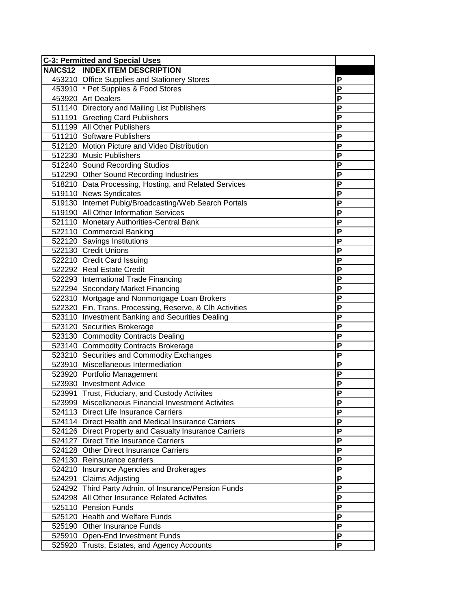| <b>C-3: Permitted and Special Uses</b> |                                                          |                |
|----------------------------------------|----------------------------------------------------------|----------------|
|                                        | NAICS12   INDEX ITEM DESCRIPTION                         |                |
|                                        | 453210 Office Supplies and Stationery Stores             | P              |
|                                        | 453910 * Pet Supplies & Food Stores                      | P              |
|                                        | 453920 Art Dealers                                       | P              |
|                                        | 511140 Directory and Mailing List Publishers             | P              |
|                                        | 511191 Greeting Card Publishers                          | P              |
|                                        | 511199 All Other Publishers                              | P              |
|                                        | 511210 Software Publishers                               | P              |
|                                        | 512120 Motion Picture and Video Distribution             | P              |
|                                        | 512230 Music Publishers                                  | P              |
|                                        | 512240 Sound Recording Studios                           | P              |
|                                        | 512290 Other Sound Recording Industries                  | P              |
|                                        | 518210 Data Processing, Hosting, and Related Services    | P              |
|                                        | 519110 News Syndicates                                   | P              |
|                                        | 519130 Internet Publg/Broadcasting/Web Search Portals    | P              |
|                                        | 519190 All Other Information Services                    | P              |
|                                        | 521110 Monetary Authorities-Central Bank                 | P              |
|                                        | 522110 Commercial Banking                                | P              |
|                                        | 522120 Savings Institutions                              | P              |
|                                        | 522130 Credit Unions                                     | P              |
|                                        | 522210 Credit Card Issuing                               | P              |
|                                        | 522292 Real Estate Credit                                | P              |
|                                        | 522293 International Trade Financing                     | P              |
|                                        | 522294 Secondary Market Financing                        | P              |
|                                        | 522310 Mortgage and Nonmortgage Loan Brokers             | $\overline{P}$ |
|                                        | 522320 Fin. Trans. Processing, Reserve, & Clh Activities | P              |
|                                        | 523110 Investment Banking and Securities Dealing         | $\overline{P}$ |
|                                        | 523120 Securities Brokerage                              | P              |
|                                        | 523130 Commodity Contracts Dealing                       | P              |
|                                        | 523140 Commodity Contracts Brokerage                     | P              |
|                                        | 523210 Securities and Commodity Exchanges                | P              |
|                                        | 523910 Miscellaneous Intermediation                      | P              |
|                                        | 523920 Portfolio Management                              | P              |
|                                        | 523930 Investment Advice                                 | P              |
|                                        | 523991 Trust, Fiduciary, and Custody Activites           | P              |
|                                        | 523999 Miscellaneous Financial Investment Activites      | Ρ              |
|                                        | 524113 Direct Life Insurance Carriers                    | P              |
|                                        | 524114 Direct Health and Medical Insurance Carriers      | P              |
|                                        | 524126 Direct Property and Casualty Insurance Carriers   | P              |
|                                        | 524127 Direct Title Insurance Carriers                   | P              |
|                                        | 524128 Other Direct Insurance Carriers                   | P              |
|                                        | 524130 Reinsurance carriers                              | P              |
|                                        | 524210 Insurance Agencies and Brokerages                 | P              |
|                                        | 524291 Claims Adjusting                                  | P              |
|                                        | 524292 Third Party Admin. of Insurance/Pension Funds     | P              |
|                                        | 524298 All Other Insurance Related Activites             | P              |
|                                        | 525110 Pension Funds                                     | P              |
|                                        | 525120 Health and Welfare Funds                          | P              |
|                                        | 525190 Other Insurance Funds                             | P              |
|                                        | 525910 Open-End Investment Funds                         | P              |
|                                        | 525920 Trusts, Estates, and Agency Accounts              | P              |
|                                        |                                                          |                |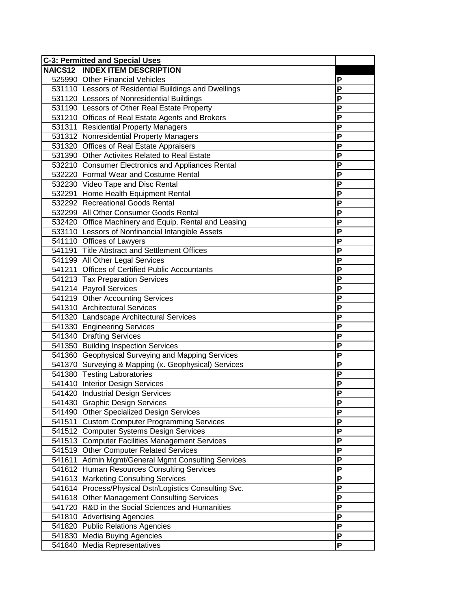| <b>C-3: Permitted and Special Uses</b>                 |                         |
|--------------------------------------------------------|-------------------------|
| <b>NAICS12   INDEX ITEM DESCRIPTION</b>                |                         |
| 525990 Other Financial Vehicles                        | P                       |
| 531110 Lessors of Residential Buildings and Dwellings  | P                       |
| 531120 Lessors of Nonresidential Buildings             | $\overline{P}$          |
| 531190 Lessors of Other Real Estate Property           | $\overline{P}$          |
| 531210 Offices of Real Estate Agents and Brokers       | $\overline{P}$          |
| 531311 Residential Property Managers                   | P                       |
| 531312 Nonresidential Property Managers                | $\overline{\mathsf{P}}$ |
| 531320 Offices of Real Estate Appraisers               | $\overline{P}$          |
| 531390 Other Activites Related to Real Estate          | P                       |
| 532210 Consumer Electronics and Appliances Rental      | P                       |
| 532220 Formal Wear and Costume Rental                  | P                       |
| 532230 Video Tape and Disc Rental                      | P                       |
| 532291 Home Health Equipment Rental                    | P                       |
| 532292 Recreational Goods Rental                       | P                       |
| 532299 All Other Consumer Goods Rental                 | P                       |
|                                                        | $\overline{\mathsf{P}}$ |
| 532420 Office Machinery and Equip. Rental and Leasing  |                         |
| 533110 Lessors of Nonfinancial Intangible Assets       | P                       |
| 541110 Offices of Lawyers                              | P                       |
| 541191 Title Abstract and Settlement Offices           | P                       |
| 541199 All Other Legal Services                        | P                       |
| 541211 Offices of Certified Public Accountants         | P                       |
| 541213 Tax Preparation Services                        | $\overline{P}$          |
| 541214 Payroll Services                                | P                       |
| 541219 Other Accounting Services                       | $\overline{\mathsf{P}}$ |
| 541310 Architectural Services                          | P                       |
| 541320 Landscape Architectural Services                | P                       |
| 541330 Engineering Services                            | P                       |
| 541340 Drafting Services                               | $\overline{P}$          |
| 541350 Building Inspection Services                    | P                       |
| 541360 Geophysical Surveying and Mapping Services      | $\overline{P}$          |
| 541370 Surveying & Mapping (x. Geophysical) Services   | $\overline{P}$          |
| 541380 Testing Laboratories                            | $\overline{\mathsf{P}}$ |
| 541410 Interior Design Services                        | $\overline{P}$          |
| 541420 Industrial Design Services                      | P                       |
| 541430 Graphic Design Services                         | P                       |
| 541490 Other Specialized Design Services               | P                       |
| 541511 Custom Computer Programming Services            | P                       |
| 541512 Computer Systems Design Services                | P                       |
| 541513 Computer Facilities Management Services         | P                       |
| 541519 Other Computer Related Services                 |                         |
|                                                        | P<br>$\overline{P}$     |
| 541611 Admin Mgmt/General Mgmt Consulting Services     |                         |
| 541612 Human Resources Consulting Services             | P                       |
| 541613 Marketing Consulting Services                   | P                       |
| 541614 Process/Physical Dstr/Logistics Consulting Svc. | P                       |
| 541618 Other Management Consulting Services            | $\overline{P}$          |
| 541720 R&D in the Social Sciences and Humanities       | P                       |
| 541810 Advertising Agencies                            | P                       |
| 541820 Public Relations Agencies                       | $\overline{\mathsf{P}}$ |
| 541830 Media Buying Agencies                           | $\overline{P}$          |
| 541840 Media Representatives                           | P                       |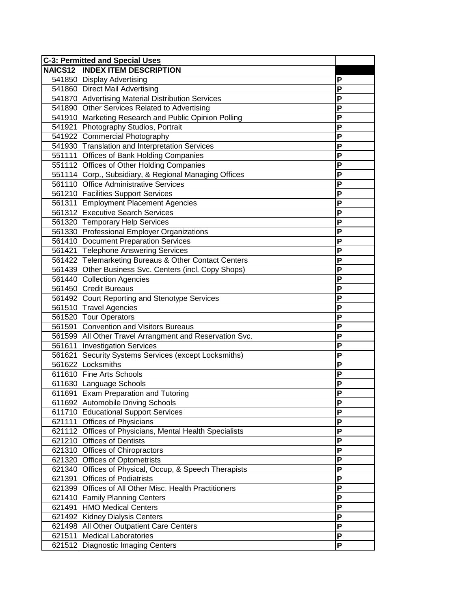| <b>C-3: Permitted and Special Uses</b> |                                                         |                |  |
|----------------------------------------|---------------------------------------------------------|----------------|--|
|                                        | <b>NAICS12   INDEX ITEM DESCRIPTION</b>                 |                |  |
|                                        | 541850 Display Advertising                              | P              |  |
|                                        | 541860 Direct Mail Advertising                          | P              |  |
|                                        | 541870 Advertising Material Distribution Services       | P              |  |
|                                        | 541890 Other Services Related to Advertising            | P              |  |
|                                        | 541910 Marketing Research and Public Opinion Polling    | P              |  |
|                                        | 541921 Photography Studios, Portrait                    | P              |  |
|                                        | 541922 Commercial Photography                           | P              |  |
|                                        | 541930 Translation and Interpretation Services          | P              |  |
|                                        | 551111 Offices of Bank Holding Companies                | P              |  |
|                                        | 551112 Offices of Other Holding Companies               | P              |  |
|                                        | 551114 Corp., Subsidiary, & Regional Managing Offices   | P              |  |
|                                        | 561110 Office Administrative Services                   | P              |  |
|                                        | 561210 Facilities Support Services                      | P              |  |
|                                        | 561311 Employment Placement Agencies                    | P              |  |
|                                        | 561312 Executive Search Services                        | P              |  |
|                                        | 561320 Temporary Help Services                          | P              |  |
|                                        | 561330 Professional Employer Organizations              | P              |  |
|                                        | 561410 Document Preparation Services                    | P              |  |
|                                        | 561421 Telephone Answering Services                     | P              |  |
|                                        | 561422 Telemarketing Bureaus & Other Contact Centers    | P              |  |
|                                        | 561439 Other Business Svc. Centers (incl. Copy Shops)   | P              |  |
|                                        | 561440 Collection Agencies                              | P              |  |
|                                        | 561450 Credit Bureaus                                   | P              |  |
|                                        | 561492 Court Reporting and Stenotype Services           | P              |  |
|                                        | 561510 Travel Agencies                                  | P              |  |
|                                        | 561520 Tour Operators                                   | P              |  |
|                                        | 561591 Convention and Visitors Bureaus                  | P              |  |
|                                        | 561599 All Other Travel Arrangment and Reservation Svc. | P              |  |
|                                        | 561611 Investigation Services                           | P              |  |
|                                        | 561621 Security Systems Services (except Locksmiths)    | P              |  |
|                                        | 561622 Locksmiths                                       | P              |  |
|                                        | 611610 Fine Arts Schools                                | P              |  |
|                                        | 611630 Language Schools                                 | P              |  |
|                                        | 611691 Exam Preparation and Tutoring                    | P              |  |
|                                        | 611692 Automobile Driving Schools                       |                |  |
|                                        | 611710 Educational Support Services                     | ۲<br>P         |  |
|                                        | 621111 Offices of Physicians                            | P              |  |
|                                        | 621112 Offices of Physicians, Mental Health Specialists | P              |  |
|                                        | 621210 Offices of Dentists                              | P              |  |
|                                        | 621310 Offices of Chiropractors                         | P              |  |
|                                        | 621320 Offices of Optometrists                          | P              |  |
|                                        |                                                         | P              |  |
|                                        | 621340 Offices of Physical, Occup, & Speech Therapists  |                |  |
|                                        | 621391 Offices of Podiatrists                           | P              |  |
|                                        | 621399 Offices of All Other Misc. Health Practitioners  | P              |  |
|                                        | 621410 Family Planning Centers                          | P              |  |
|                                        | 621491 HMO Medical Centers                              | P              |  |
|                                        | 621492 Kidney Dialysis Centers                          | P              |  |
|                                        | 621498 All Other Outpatient Care Centers                | $\overline{P}$ |  |
|                                        | 621511 Medical Laboratories                             | P              |  |
|                                        | 621512 Diagnostic Imaging Centers                       | $\overline{P}$ |  |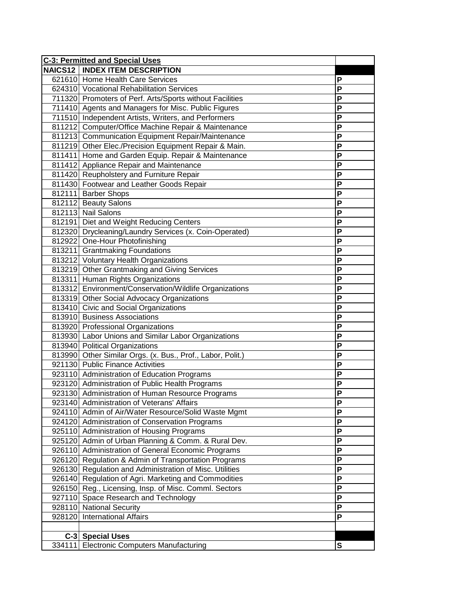| <b>C-3: Permitted and Special Uses</b>                     |                |
|------------------------------------------------------------|----------------|
| <b>NAICS12   INDEX ITEM DESCRIPTION</b>                    |                |
| 621610 Home Health Care Services                           | P              |
| 624310 Vocational Rehabilitation Services                  | P              |
| 711320 Promoters of Perf. Arts/Sports without Facilities   | P              |
| 711410 Agents and Managers for Misc. Public Figures        | P              |
| 711510 Independent Artists, Writers, and Performers        | P              |
| 811212 Computer/Office Machine Repair & Maintenance        | P              |
| 811213 Communication Equipment Repair/Maintenance          | P              |
| 811219 Other Elec./Precision Equipment Repair & Main.      | P              |
| 811411 Home and Garden Equip. Repair & Maintenance         | P              |
| 811412 Appliance Repair and Maintenance                    | P              |
| 811420 Reupholstery and Furniture Repair                   | P              |
| 811430 Footwear and Leather Goods Repair                   | P              |
| 812111 Barber Shops                                        | P              |
| 812112 Beauty Salons                                       | P              |
| 812113 Nail Salons                                         | P              |
| 812191 Diet and Weight Reducing Centers                    | P              |
| 812320 Drycleaning/Laundry Services (x. Coin-Operated)     | P              |
| 812922 One-Hour Photofinishing                             | P              |
| 813211 Grantmaking Foundations                             | P              |
| 813212 Voluntary Health Organizations                      | P              |
| 813219 Other Grantmaking and Giving Services               | P              |
| 813311 Human Rights Organizations                          | P              |
| 813312 Environment/Conservation/Wildlife Organizations     | P              |
| 813319 Other Social Advocacy Organizations                 | P              |
| 813410 Civic and Social Organizations                      | P              |
| 813910 Business Associations                               | P              |
| 813920 Professional Organizations                          | P              |
| 813930 Labor Unions and Similar Labor Organizations        | P              |
| 813940 Political Organizations                             | P              |
| 813990 Other Similar Orgs. (x. Bus., Prof., Labor, Polit.) | P              |
| 921130 Public Finance Activities                           | P              |
|                                                            | $\overline{P}$ |
| 923110 Administration of Education Programs                |                |
| 923120 Administration of Public Health Programs            | P<br>P         |
| 923130 Administration of Human Resource Programs           |                |
| 923140 Administration of Veterans' Affairs                 | Ρ              |
| 924110 Admin of Air/Water Resource/Solid Waste Mgmt        | P              |
| 924120 Administration of Conservation Programs             | P              |
| 925110 Administration of Housing Programs                  | P              |
| 925120 Admin of Urban Planning & Comm. & Rural Dev.        | P              |
| 926110 Administration of General Economic Programs         | P              |
| 926120 Regulation & Admin of Transportation Programs       | P              |
| 926130 Regulation and Administration of Misc. Utilities    | P              |
| 926140 Regulation of Agri. Marketing and Commodities       | P              |
| 926150 Reg., Licensing, Insp. of Misc. Comml. Sectors      | P              |
| 927110 Space Research and Technology                       | P              |
| 928110 National Security                                   | P              |
| 928120 International Affairs                               | P              |
|                                                            |                |
| C-3 Special Uses                                           |                |
| 334111 Electronic Computers Manufacturing                  | S              |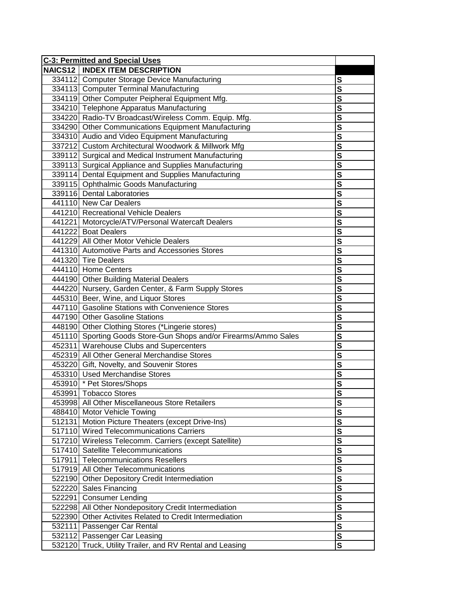| <b>C-3: Permitted and Special Uses</b>                           |                                   |
|------------------------------------------------------------------|-----------------------------------|
| <b>NAICS12   INDEX ITEM DESCRIPTION</b>                          |                                   |
| 334112 Computer Storage Device Manufacturing                     | S                                 |
| 334113 Computer Terminal Manufacturing                           | $\overline{\mathbf{s}}$           |
| 334119 Other Computer Peipheral Equipment Mfg.                   | $\overline{\mathbf{s}}$           |
| 334210 Telephone Apparatus Manufacturing                         | $\overline{\mathbf{s}}$           |
| 334220 Radio-TV Broadcast/Wireless Comm. Equip. Mfg.             | $\overline{\mathsf{s}}$           |
|                                                                  | $\overline{\mathbf{s}}$           |
| 334290 Other Communications Equipment Manufacturing              | $\overline{\mathbf{s}}$           |
| 334310 Audio and Video Equipment Manufacturing                   | $\overline{\mathbf{s}}$           |
| 337212 Custom Architectural Woodwork & Millwork Mfg              |                                   |
| 339112 Surgical and Medical Instrument Manufacturing             | $\overline{\mathbf{s}}$           |
| 339113 Surgical Appliance and Supplies Manufacturing             | $\overline{\mathsf{s}}$           |
| 339114 Dental Equipment and Supplies Manufacturing               | $\overline{\mathbf{s}}$           |
| 339115 Ophthalmic Goods Manufacturing                            | S                                 |
| 339116 Dental Laboratories                                       | S                                 |
| 441110 New Car Dealers                                           | $\overline{\mathbf{s}}$           |
| 441210 Recreational Vehicle Dealers                              | S                                 |
| 441221   Motorcycle/ATV/Personal Watercaft Dealers               | $\overline{\mathbf{s}}$           |
| 441222 Boat Dealers                                              | $\overline{\mathbf{s}}$           |
| 441229 All Other Motor Vehicle Dealers                           | $\overline{\mathbf{s}}$           |
| 441310 Automotive Parts and Accessories Stores                   | $\overline{\mathbf{s}}$           |
| 441320 Tire Dealers                                              | $\overline{\mathbf{s}}$           |
| 444110 Home Centers                                              | $\overline{\mathbf{s}}$           |
| 444190 Other Building Material Dealers                           | $\overline{\mathbf{s}}$           |
| 444220 Nursery, Garden Center, & Farm Supply Stores              | $\overline{\mathbf{s}}$           |
| 445310 Beer, Wine, and Liquor Stores                             | $\overline{\mathbf{s}}$           |
| 447110 Gasoline Stations with Convenience Stores                 | $\overline{\mathsf{s}}$           |
| 447190 Other Gasoline Stations                                   | $\overline{\mathsf{s}}$           |
| 448190 Other Clothing Stores (*Lingerie stores)                  | $\overline{\mathbf{s}}$           |
| 451110 Sporting Goods Store-Gun Shops and/or Firearms/Ammo Sales | $\overline{\mathbf{s}}$           |
| 452311 Warehouse Clubs and Supercenters                          | $\overline{\mathbf{s}}$           |
| 452319 All Other General Merchandise Stores                      | $\overline{\mathbf{s}}$           |
| 453220 Gift, Novelty, and Souvenir Stores                        | $\overline{\mathbf{s}}$           |
| 453310 Used Merchandise Stores                                   | $\overline{\mathbf{s}}$           |
| 453910 * Pet Stores/Shops                                        |                                   |
| 453991 Tobacco Stores                                            | $\overline{\mathsf{s}}$           |
| 453998 All Other Miscellaneous Store Retailers                   | $\overline{\mathbf{s}}$           |
| 488410 Motor Vehicle Towing                                      | $\bf{s}$                          |
| 512131 Motion Picture Theaters (except Drive-Ins)                | $\mathbf{s}$                      |
| 517110 Wired Telecommunications Carriers                         | $\mathbf{s}$                      |
|                                                                  | $\overline{\mathbf{s}}$           |
| 517210 Wireless Telecomm. Carriers (except Satellite)            | $\overline{\mathbf{s}}$           |
| 517410 Satellite Telecommunications                              | $\overline{\mathbf{s}}$           |
| 517911 Telecommunications Resellers                              | $\overline{\mathbf{s}}$           |
| 517919 All Other Telecommunications                              |                                   |
| 522190 Other Depository Credit Intermediation                    | $\overline{\mathbf{s}}$           |
| 522220 Sales Financing                                           | $rac{\overline{s}}{\overline{s}}$ |
| 522291 Consumer Lending                                          |                                   |
| 522298 All Other Nondepository Credit Intermediation             | $\frac{1}{s}$                     |
| 522390 Other Activites Related to Credit Intermediation          |                                   |
| 532111 Passenger Car Rental                                      | $\overline{\mathbf{s}}$           |
| 532112 Passenger Car Leasing                                     | $\overline{\mathbf{s}}$           |
| 532120 Truck, Utility Trailer, and RV Rental and Leasing         | $\overline{\mathsf{s}}$           |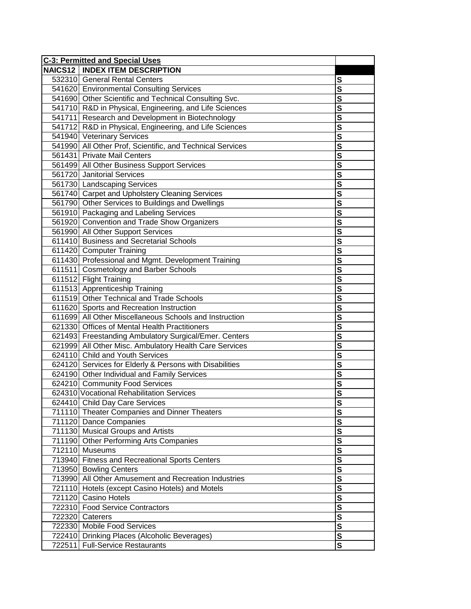| <b>C-3: Permitted and Special Uses</b> |                                                           |                         |
|----------------------------------------|-----------------------------------------------------------|-------------------------|
|                                        | <b>NAICS12   INDEX ITEM DESCRIPTION</b>                   |                         |
|                                        | 532310 General Rental Centers                             | S                       |
|                                        | 541620 Environmental Consulting Services                  | S                       |
|                                        | 541690 Other Scientific and Technical Consulting Svc.     | $\overline{\mathbf{s}}$ |
|                                        | 541710 R&D in Physical, Engineering, and Life Sciences    | $\overline{\mathbf{s}}$ |
|                                        | 541711 Research and Development in Biotechnology          | $\overline{\mathbf{s}}$ |
|                                        | 541712 R&D in Physical, Engineering, and Life Sciences    | $\overline{\mathsf{s}}$ |
|                                        | 541940 Veterinary Services                                | $\overline{\mathbf{s}}$ |
|                                        | 541990 All Other Prof, Scientific, and Technical Services | S                       |
|                                        | 561431 Private Mail Centers                               | $\overline{\mathbf{s}}$ |
|                                        | 561499 All Other Business Support Services                | S                       |
|                                        | 561720 Janitorial Services                                | $\overline{\mathbf{s}}$ |
|                                        | 561730 Landscaping Services                               | $\overline{\mathbf{s}}$ |
|                                        | 561740 Carpet and Upholstery Cleaning Services            | $\overline{\mathbf{s}}$ |
|                                        | 561790 Other Services to Buildings and Dwellings          | $\overline{\mathbf{s}}$ |
|                                        | 561910 Packaging and Labeling Services                    | $\overline{\mathbf{s}}$ |
|                                        | 561920 Convention and Trade Show Organizers               | $\overline{\mathbf{s}}$ |
|                                        | 561990 All Other Support Services                         | $\overline{\mathbf{s}}$ |
|                                        | 611410 Business and Secretarial Schools                   | $\overline{\mathbf{s}}$ |
|                                        | 611420 Computer Training                                  | $\overline{\mathbf{s}}$ |
|                                        | 611430 Professional and Mgmt. Development Training        | $\overline{\mathbf{s}}$ |
|                                        | 611511 Cosmetology and Barber Schools                     | $\overline{\mathbf{s}}$ |
|                                        | 611512 Flight Training                                    | $\overline{\mathbf{s}}$ |
|                                        | 611513 Apprenticeship Training                            | $\overline{\mathbf{s}}$ |
|                                        | 611519 Other Technical and Trade Schools                  | $\overline{s}$          |
|                                        | 611620 Sports and Recreation Instruction                  | $\overline{\mathbf{s}}$ |
|                                        | 611699 All Other Miscellaneous Schools and Instruction    | $\overline{\mathbf{s}}$ |
|                                        | 621330 Offices of Mental Health Practitioners             | $\overline{\mathbf{s}}$ |
|                                        | 621493 Freestanding Ambulatory Surgical/Emer. Centers     | $\overline{\mathsf{s}}$ |
|                                        | 621999 All Other Misc. Ambulatory Health Care Services    | $\overline{\mathbf{s}}$ |
|                                        | 624110 Child and Youth Services                           | $\overline{\mathbf{s}}$ |
|                                        | 624120 Services for Elderly & Persons with Disabilities   | $\overline{\mathbf{s}}$ |
|                                        | 624190 Other Individual and Family Services               | $\overline{\mathsf{s}}$ |
|                                        | 624210 Community Food Services                            | $\overline{\mathbf{s}}$ |
|                                        | 624310 Vocational Rehabilitation Services                 | $\overline{\mathbf{s}}$ |
|                                        | 624410 Child Day Care Services                            | ১                       |
|                                        | 711110 Theater Companies and Dinner Theaters              | S                       |
|                                        | 711120 Dance Companies                                    | $\mathbf s$             |
|                                        | 711130 Musical Groups and Artists                         | $\overline{\mathbf{s}}$ |
|                                        | 711190 Other Performing Arts Companies                    | $\overline{\mathbf{s}}$ |
|                                        | 712110 Museums                                            | $\overline{\mathbf{s}}$ |
|                                        | 713940 Fitness and Recreational Sports Centers            | $\overline{\mathbf{s}}$ |
|                                        | 713950 Bowling Centers                                    | S                       |
|                                        | 713990 All Other Amusement and Recreation Industries      | S                       |
|                                        | 721110 Hotels (except Casino Hotels) and Motels           | $\overline{\mathbf{s}}$ |
|                                        | 721120 Casino Hotels                                      | $\overline{\mathbf{s}}$ |
|                                        | 722310 Food Service Contractors                           | $\overline{\mathbf{s}}$ |
|                                        | 722320 Caterers                                           | $\overline{\mathbf{s}}$ |
|                                        | 722330 Mobile Food Services                               | $\overline{\mathbf{s}}$ |
|                                        | 722410 Drinking Places (Alcoholic Beverages)              | $\overline{\mathbf{s}}$ |
|                                        | 722511 Full-Service Restaurants                           | $\mathbf s$             |